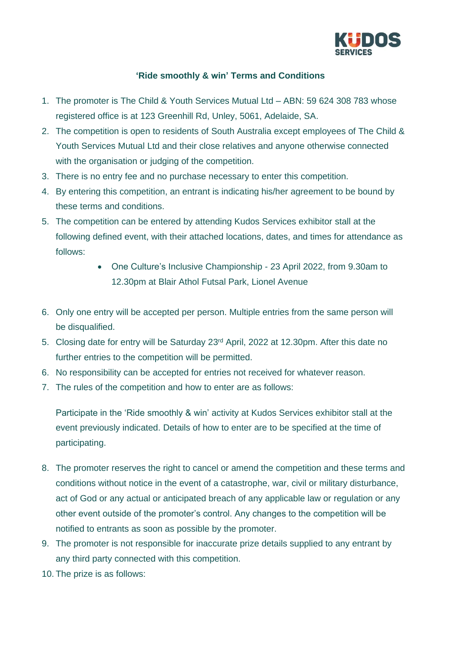

## **'Ride smoothly & win' Terms and Conditions**

- 1. The promoter is The Child & Youth Services Mutual Ltd ABN: 59 624 308 783 whose registered office is at 123 Greenhill Rd, Unley, 5061, Adelaide, SA.
- 2. The competition is open to residents of South Australia except employees of The Child & Youth Services Mutual Ltd and their close relatives and anyone otherwise connected with the organisation or judging of the competition.
- 3. There is no entry fee and no purchase necessary to enter this competition.
- 4. By entering this competition, an entrant is indicating his/her agreement to be bound by these terms and conditions.
- 5. The competition can be entered by attending Kudos Services exhibitor stall at the following defined event, with their attached locations, dates, and times for attendance as follows:
	- One Culture's Inclusive Championship 23 April 2022, from 9.30am to 12.30pm at Blair Athol Futsal Park, Lionel Avenue
- 6. Only one entry will be accepted per person. Multiple entries from the same person will be disqualified.
- 5. Closing date for entry will be Saturday 23rd April, 2022 at 12.30pm. After this date no further entries to the competition will be permitted.
- 6. No responsibility can be accepted for entries not received for whatever reason.
- 7. The rules of the competition and how to enter are as follows:

Participate in the 'Ride smoothly & win' activity at Kudos Services exhibitor stall at the event previously indicated. Details of how to enter are to be specified at the time of participating.

- 8. The promoter reserves the right to cancel or amend the competition and these terms and conditions without notice in the event of a catastrophe, war, civil or military disturbance, act of God or any actual or anticipated breach of any applicable law or regulation or any other event outside of the promoter's control. Any changes to the competition will be notified to entrants as soon as possible by the promoter.
- 9. The promoter is not responsible for inaccurate prize details supplied to any entrant by any third party connected with this competition.
- 10. The prize is as follows: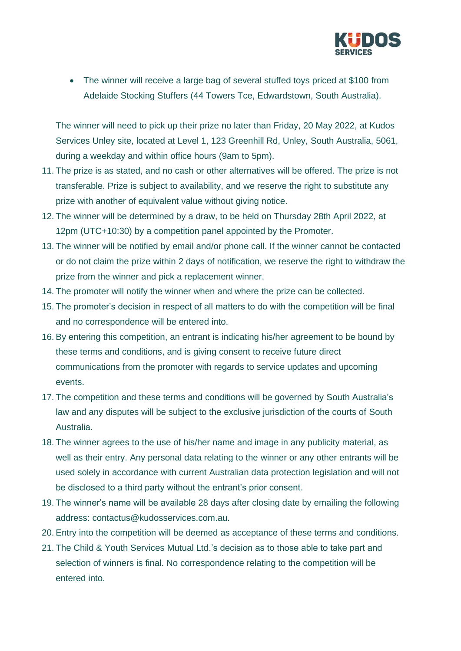

• The winner will receive a large bag of several stuffed toys priced at \$100 from Adelaide Stocking Stuffers (44 Towers Tce, Edwardstown, South Australia).

The winner will need to pick up their prize no later than Friday, 20 May 2022, at Kudos Services Unley site, located at Level 1, 123 Greenhill Rd, Unley, South Australia, 5061, during a weekday and within office hours (9am to 5pm).

- 11. The prize is as stated, and no cash or other alternatives will be offered. The prize is not transferable. Prize is subject to availability, and we reserve the right to substitute any prize with another of equivalent value without giving notice.
- 12. The winner will be determined by a draw, to be held on Thursday 28th April 2022, at 12pm (UTC+10:30) by a competition panel appointed by the Promoter.
- 13. The winner will be notified by email and/or phone call. If the winner cannot be contacted or do not claim the prize within 2 days of notification, we reserve the right to withdraw the prize from the winner and pick a replacement winner.
- 14. The promoter will notify the winner when and where the prize can be collected.
- 15. The promoter's decision in respect of all matters to do with the competition will be final and no correspondence will be entered into.
- 16. By entering this competition, an entrant is indicating his/her agreement to be bound by these terms and conditions, and is giving consent to receive future direct communications from the promoter with regards to service updates and upcoming events.
- 17. The competition and these terms and conditions will be governed by South Australia's law and any disputes will be subject to the exclusive jurisdiction of the courts of South Australia.
- 18. The winner agrees to the use of his/her name and image in any publicity material, as well as their entry. Any personal data relating to the winner or any other entrants will be used solely in accordance with current Australian data protection legislation and will not be disclosed to a third party without the entrant's prior consent.
- 19. The winner's name will be available 28 days after closing date by emailing the following address: contactus@kudosservices.com.au.
- 20. Entry into the competition will be deemed as acceptance of these terms and conditions.
- 21. The Child & Youth Services Mutual Ltd.'s decision as to those able to take part and selection of winners is final. No correspondence relating to the competition will be entered into.